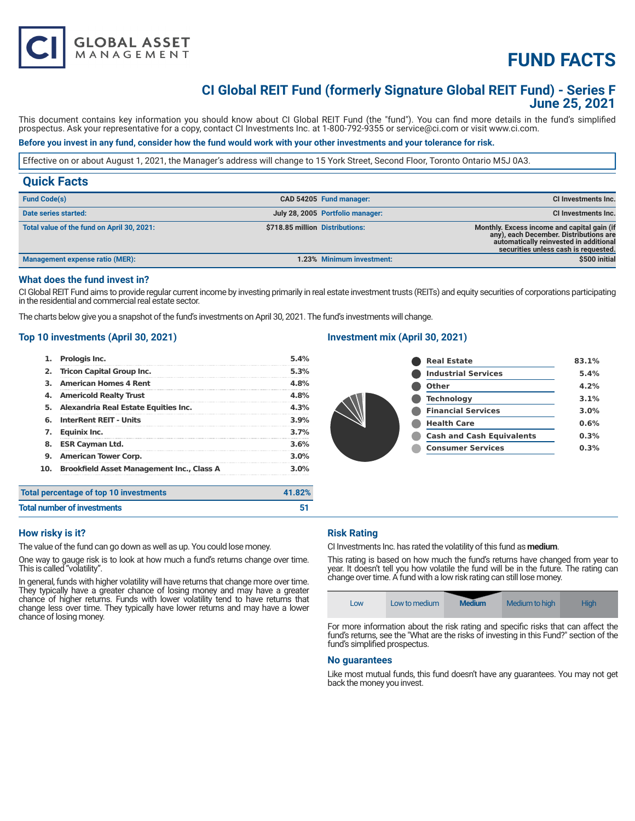# **FUND FACTS**

# **CI Global REIT Fund (formerly Signature Global REIT Fund) - Series F June 25, 2021**

This document contains key information you should know about CI Global REIT Fund (the "fund"). You can find more details in the fund's simplified prospectus. Ask your representative for a copy, contact CI Investments Inc. at 1-800-792-9355 or service@ci.com or visit www.ci.com.

# **Before you invest in any fund, consider how the fund would work with your other investments and your tolerance for risk.**

Effective on or about August 1, 2021, the Manager's address will change to 15 York Street, Second Floor, Toronto Ontario M5J 0A3.

| <b>Fund Code(s)</b><br>CAD 54205 Fund manager:                                                                                                                                                                                                           |                            |
|----------------------------------------------------------------------------------------------------------------------------------------------------------------------------------------------------------------------------------------------------------|----------------------------|
|                                                                                                                                                                                                                                                          | <b>CI Investments Inc.</b> |
| July 28, 2005 Portfolio manager:<br>Date series started:                                                                                                                                                                                                 | CI Investments Inc.        |
| \$718.85 million Distributions:<br>Total value of the fund on April 30, 2021:<br>Monthly. Excess income and capital gain (if<br>any), each December. Distributions are<br>automatically reinvested in additional<br>securities unless cash is requested. |                            |
| <b>Management expense ratio (MER):</b><br>1.23% Minimum investment:                                                                                                                                                                                      | \$500 initial              |

# **What does the fund invest in?**

CI Global REIT Fund aims to provide regular current income by investing primarily in real estate investment trusts (REITs) and equity securities of corporations participating in the residential and commercial real estate sector.

The charts below give you a snapshot of the fund's investments on April 30, 2021. The fund's investments will change.

# **Top 10 investments (April 30, 2021)**

**GLOBAL ASSET**<br>MANAGEMENT

|     | <b>Prologis Inc.</b>                             | 5.4%    |
|-----|--------------------------------------------------|---------|
| 2.  | <b>Tricon Capital Group Inc.</b>                 | 5.3%    |
| З.  | <b>American Homes 4 Rent</b>                     | 4.8%    |
| 4.  | <b>Americold Realty Trust</b>                    | 4.8%    |
| 5.  | Alexandria Real Estate Equities Inc.             | 4.3%    |
| 6.  | <b>InterRent REIT - Units</b>                    | 3.9%    |
| 7.  | Equinix Inc.                                     | 3.7%    |
| 8.  | <b>ESR Cayman Ltd.</b>                           | 3.6%    |
| 9.  | <b>American Tower Corp.</b>                      | 3.0%    |
| 10. | <b>Brookfield Asset Management Inc., Class A</b> | $3.0\%$ |

# **Investment mix (April 30, 2021)**

| <b>Real Estate</b>               | 83.1% |
|----------------------------------|-------|
| <b>Industrial Services</b>       | 5.4%  |
| <b>Other</b>                     | 4.2%  |
| <b>Technology</b>                | 3.1%  |
| <b>Financial Services</b>        | 3.0%  |
| <b>Health Care</b>               | 0.6%  |
| <b>Cash and Cash Equivalents</b> | 0.3%  |
| <b>Consumer Services</b>         | 0.3%  |
|                                  |       |

| Total percentage of top 10 investments | 41.82% |
|----------------------------------------|--------|
| <b>Total number of investments</b>     | 51     |

# **How risky is it?**

The value of the fund can go down as well as up. You could lose money.

One way to gauge risk is to look at how much a fund's returns change over time. This is called "volatility".

In general, funds with higher volatility will have returns that change more over time. They typically have a greater chance of losing money and may have a greater chance of higher returns. Funds with lower volatility tend to have returns that change less over time. They typically have lower returns and may have a lower chance of losing money.

#### **Risk Rating**

CI Investments Inc. has rated the volatility of this fund as **medium**.

This rating is based on how much the fund's returns have changed from year to year. It doesn't tell you how volatile the fund will be in the future. The rating can change over time. A fund with a low risk rating can still lose money.

|--|

For more information about the risk rating and specific risks that can affect the fund's returns, see the "What are the risks of investing in this Fund?" section of the fund's simplified prospectus.

#### **No guarantees**

Like most mutual funds, this fund doesn't have any guarantees. You may not get back the money you invest.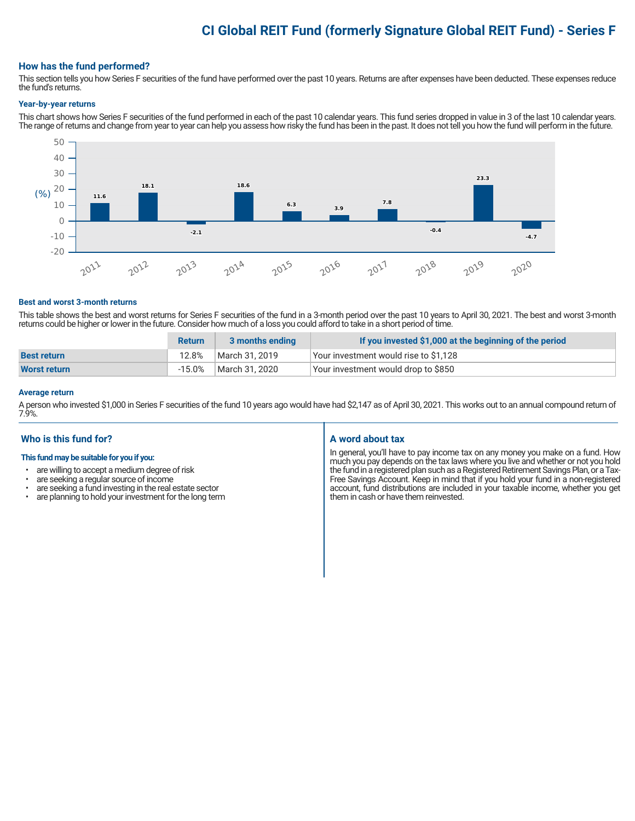# **CI Global REIT Fund (formerly Signature Global REIT Fund) - Series F**

# **How has the fund performed?**

This section tells you how Series F securities of the fund have performed over the past 10 years. Returns are after expenses have been deducted. These expenses reduce the fund's returns.

#### **Year-by-year returns**

This chart shows how Series F securities of the fund performed in each of the past 10 calendar years. This fund series dropped in value in 3 of the last 10 calendar years. The range of returns and change from year to year can help you assess how risky the fund has been in the past. It does not tell you how the fund will perform in the future.



#### **Best and worst 3-month returns**

This table shows the best and worst returns for Series F securities of the fund in a 3-month period over the past 10 years to April 30, 2021. The best and worst 3-month returns could be higher or lower in the future. Consider how much of a loss you could afford to take in a short period of time.

|                     | <b>Return</b> | 3 months ending | If you invested \$1,000 at the beginning of the period |
|---------------------|---------------|-----------------|--------------------------------------------------------|
| <b>Best return</b>  | 12.8%         | March 31, 2019  | Your investment would rise to \$1,128                  |
| <b>Worst return</b> | $-15.0\%$     | March 31, 2020  | Your investment would drop to \$850                    |

#### **Average return**

A person who invested \$1,000 in Series F securities of the fund 10 years ago would have had \$2,147 as of April 30, 2021. This works out to an annual compound return of 7.9%.

# **Who is this fund for?**

# **This fund may be suitable for you if you:**

- are willing to accept a medium degree of risk
- are seeking a regular source of income<br>• are seeking a fund investing in the real e
- are seeking a fund investing in the real estate sector<br>• are planning to hold your investment for the long term
- are planning to hold your investment for the long term

# **A word about tax**

In general, you'll have to pay income tax on any money you make on a fund. How much you pay depends on the tax laws where you live and whether or not you hold the fund in a registered plan such as a Registered Retirement Savings Plan, or a Tax-Free Savings Account. Keep in mind that if you hold your fund in a non-registered account, fund distributions are included in your taxable income, whether you get them in cash or have them reinvested.